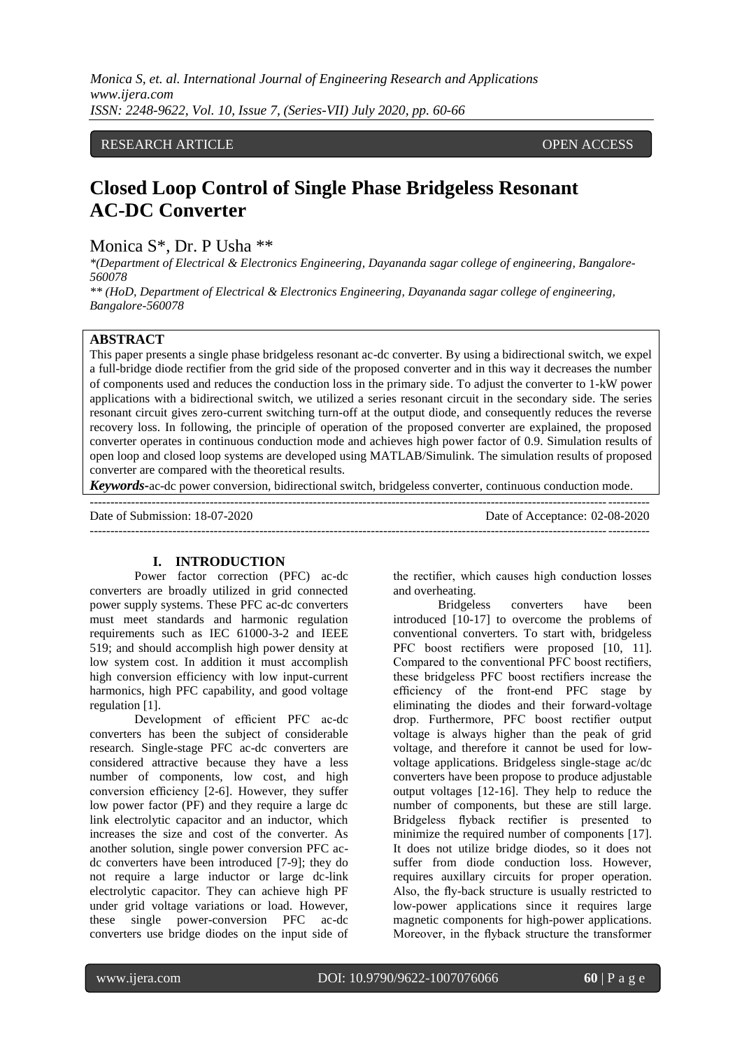*Monica S, et. al. International Journal of Engineering Research and Applications www.ijera.com ISSN: 2248-9622, Vol. 10, Issue 7, (Series-VII) July 2020, pp. 60-66*

# RESEARCH ARTICLE **CONSERVERS** OPEN ACCESS

# **Closed Loop Control of Single Phase Bridgeless Resonant AC-DC Converter**

Monica S\*, Dr. P Usha \*\*

*\*(Department of Electrical & Electronics Engineering, Dayananda sagar college of engineering, Bangalore-560078*

*\*\* (HoD, Department of Electrical & Electronics Engineering, Dayananda sagar college of engineering, Bangalore-560078*

## **ABSTRACT**

This paper presents a single phase bridgeless resonant ac-dc converter. By using a bidirectional switch, we expel a full-bridge diode rectifier from the grid side of the proposed converter and in this way it decreases the number of components used and reduces the conduction loss in the primary side. To adjust the converter to 1-kW power applications with a bidirectional switch, we utilized a series resonant circuit in the secondary side. The series resonant circuit gives zero-current switching turn-off at the output diode, and consequently reduces the reverse recovery loss. In following, the principle of operation of the proposed converter are explained, the proposed converter operates in continuous conduction mode and achieves high power factor of 0.9. Simulation results of open loop and closed loop systems are developed using MATLAB/Simulink. The simulation results of proposed converter are compared with the theoretical results.

*Keywords***-**ac-dc power conversion, bidirectional switch, bridgeless converter, continuous conduction mode.

| Date of Submission: 18-07-2020 | Date of Acceptance: 02-08-2020 |
|--------------------------------|--------------------------------|
|                                |                                |

#### **I. INTRODUCTION**

Power factor correction (PFC) ac-dc converters are broadly utilized in grid connected power supply systems. These PFC ac-dc converters must meet standards and harmonic regulation requirements such as IEC 61000-3-2 and IEEE 519; and should accomplish high power density at low system cost. In addition it must accomplish high conversion efficiency with low input-current harmonics, high PFC capability, and good voltage regulation [1].

Development of efficient PFC ac-dc converters has been the subject of considerable research. Single-stage PFC ac-dc converters are considered attractive because they have a less number of components, low cost, and high conversion efficiency [2-6]. However, they suffer low power factor (PF) and they require a large dc link electrolytic capacitor and an inductor, which increases the size and cost of the converter. As another solution, single power conversion PFC acdc converters have been introduced [7-9]; they do not require a large inductor or large dc-link electrolytic capacitor. They can achieve high PF under grid voltage variations or load. However, these single power-conversion PFC ac-dc converters use bridge diodes on the input side of the rectifier, which causes high conduction losses and overheating.

Bridgeless converters have been introduced [10-17] to overcome the problems of conventional converters. To start with, bridgeless PFC boost rectifiers were proposed [10, 11]. Compared to the conventional PFC boost rectifiers, these bridgeless PFC boost rectifiers increase the efficiency of the front-end PFC stage by eliminating the diodes and their forward-voltage drop. Furthermore, PFC boost rectifier output voltage is always higher than the peak of grid voltage, and therefore it cannot be used for lowvoltage applications. Bridgeless single-stage ac/dc converters have been propose to produce adjustable output voltages [12-16]. They help to reduce the number of components, but these are still large. Bridgeless flyback rectifier is presented to minimize the required number of components [17]. It does not utilize bridge diodes, so it does not suffer from diode conduction loss. However, requires auxillary circuits for proper operation. Also, the fly-back structure is usually restricted to low-power applications since it requires large magnetic components for high-power applications. Moreover, in the flyback structure the transformer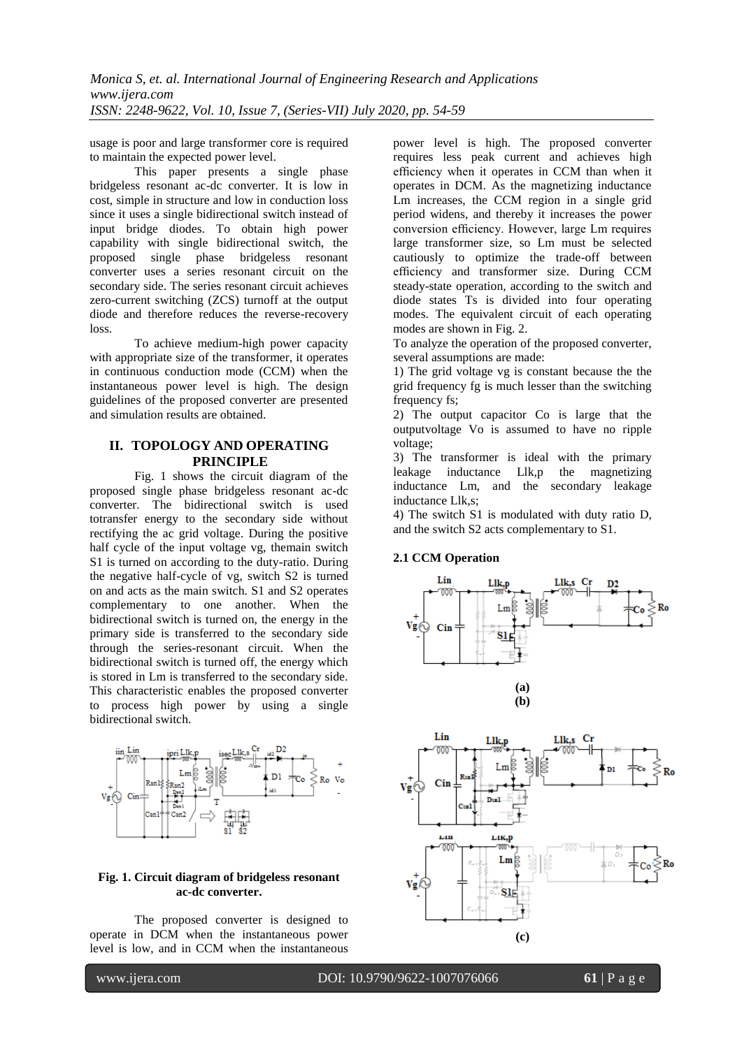usage is poor and large transformer core is required to maintain the expected power level.

This paper presents a single phase bridgeless resonant ac-dc converter. It is low in cost, simple in structure and low in conduction loss since it uses a single bidirectional switch instead of input bridge diodes. To obtain high power capability with single bidirectional switch, the proposed single phase bridgeless resonant converter uses a series resonant circuit on the secondary side. The series resonant circuit achieves zero-current switching (ZCS) turnoff at the output diode and therefore reduces the reverse-recovery loss.

To achieve medium-high power capacity with appropriate size of the transformer, it operates in continuous conduction mode (CCM) when the instantaneous power level is high. The design guidelines of the proposed converter are presented and simulation results are obtained.

# **II. TOPOLOGY AND OPERATING PRINCIPLE**

Fig. 1 shows the circuit diagram of the proposed single phase bridgeless resonant ac-dc converter. The bidirectional switch is used totransfer energy to the secondary side without rectifying the ac grid voltage. During the positive half cycle of the input voltage vg, themain switch S1 is turned on according to the duty-ratio. During the negative half-cycle of vg, switch S2 is turned on and acts as the main switch. S1 and S2 operates complementary to one another. When the bidirectional switch is turned on, the energy in the primary side is transferred to the secondary side through the series-resonant circuit. When the bidirectional switch is turned off, the energy which is stored in Lm is transferred to the secondary side. This characteristic enables the proposed converter to process high power by using a single bidirectional switch.



#### **Fig. 1. Circuit diagram of bridgeless resonant ac-dc converter.**

The proposed converter is designed to operate in DCM when the instantaneous power level is low, and in CCM when the instantaneous

power level is high. The proposed converter requires less peak current and achieves high efficiency when it operates in CCM than when it operates in DCM. As the magnetizing inductance Lm increases, the CCM region in a single grid period widens, and thereby it increases the power conversion efficiency. However, large Lm requires large transformer size, so Lm must be selected cautiously to optimize the trade-off between efficiency and transformer size. During CCM steady-state operation, according to the switch and diode states Ts is divided into four operating modes. The equivalent circuit of each operating modes are shown in Fig. 2.

To analyze the operation of the proposed converter, several assumptions are made:

1) The grid voltage vg is constant because the the grid frequency fg is much lesser than the switching frequency fs;

2) The output capacitor Co is large that the outputvoltage Vo is assumed to have no ripple voltage;

3) The transformer is ideal with the primary leakage inductance Llk,p the magnetizing inductance Lm, and the secondary leakage inductance Llk,s;

4) The switch S1 is modulated with duty ratio D, and the switch S2 acts complementary to S1.

## **2.1 CCM Operation**



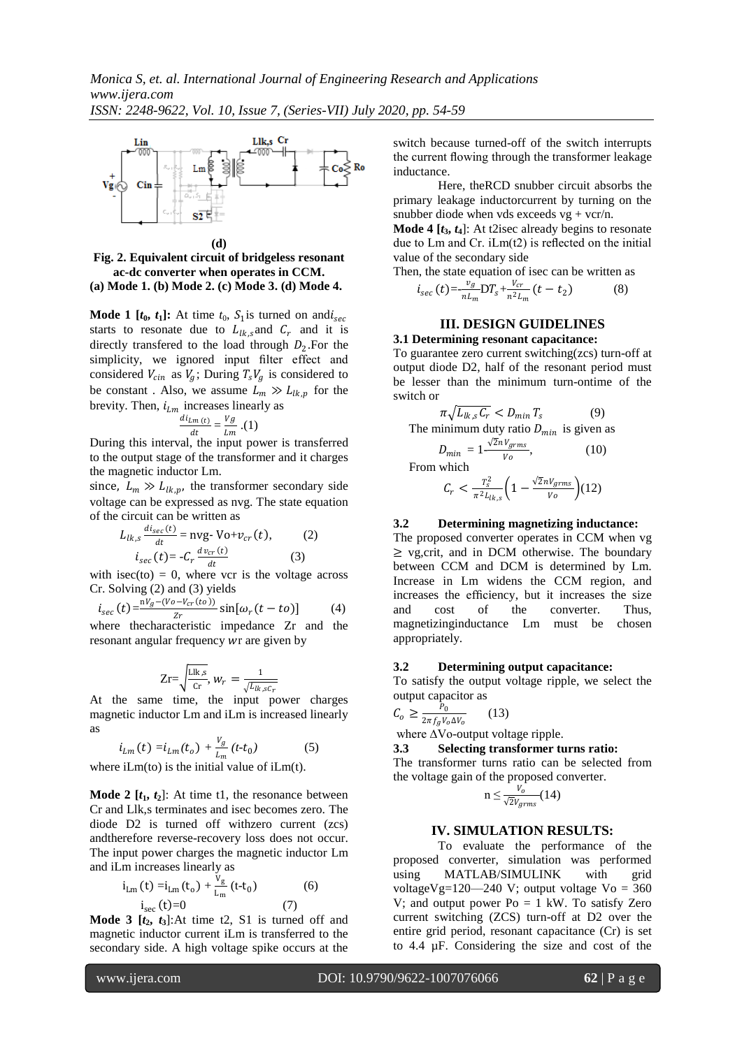

**(d) Fig. 2. Equivalent circuit of bridgeless resonant ac-dc converter when operates in CCM. (a) Mode 1. (b) Mode 2. (c) Mode 3. (d) Mode 4.**

**Mode 1**  $[t_0, t_1]$ : At time  $t_0$ ,  $S_1$  is turned on and  $i_{\text{sec}}$ starts to resonate due to  $L_{lk,s}$  and  $C_r$  and it is directly transferred to the load through  $D_2$ . For the simplicity, we ignored input filter effect and considered  $V_{cin}$  as  $V_g$ ; During  $T_sV_g$  is considered to be constant. Also, we assume  $L_m \gg L_{lk,p}$  for the brevity. Then,  $i_{Lm}$  increases linearly as

$$
\frac{di_{Lm(t)}}{dt} = \frac{Vg}{Lm} \cdot (1)
$$

 $\frac{dt}{dt}$   $\frac{Lm}{dt}$  ower is transferred to the output stage of the transformer and it charges the magnetic inductor Lm.

since,  $L_m \gg L_{lk,p}$ , the transformer secondary side voltage can be expressed as nvg. The state equation of the circuit can be written as

$$
L_{lk,s} \frac{di_{sec}(t)}{dt} = \text{nyg-} \text{Vo+} v_{cr}(t), \qquad (2)
$$

$$
i_{sec}(t) = -C_r \frac{dv_{cr}(t)}{dt} \qquad (3)
$$

with isec(to)  $= 0$ , where vcr is the voltage across Cr. Solving (2) and (3) yields

$$
i_{sec}(t) = \frac{v_g - (v_o - v_{cr}(to))}{z_r} \sin[\omega_r(t - t_o)] \tag{4}
$$

where the<br>characteristic impedance  $Zr$  and the resonant angular frequency wr are given by

$$
Zr = \sqrt{\frac{\text{Llk}_{,S}}{\text{Cr}}}, \, w_r = \frac{1}{\sqrt{L_{lk,sC_r}}}
$$

At the same time, the input power charges magnetic inductor Lm and iLm is increased linearly as

$$
i_{Lm}(t) = i_{Lm}(t_o) + \frac{v_g}{L_m}(t \cdot t_0)
$$
 (5)

where  $iLm(t)$  is the initial value of  $iLm(t)$ .

**Mode 2**  $[t_1, t_2]$ : At time t1, the resonance between Cr and Llk,s terminates and isec becomes zero. The diode D2 is turned off withzero current (zcs) andtherefore reverse-recovery loss does not occur. The input power charges the magnetic inductor Lm and iLm increases linearly as

$$
i_{\text{Lm}}(t) = i_{\text{Lm}}(t_0) + \frac{v_g}{L_m}(t - t_0)
$$
 (6)  

$$
i_{\text{sec}}(t) = 0
$$
 (7)

**Mode 3**  $[t_2, t_3]$ :At time t2, S1 is turned off and magnetic inductor current iLm is transferred to the secondary side. A high voltage spike occurs at the

switch because turned-off of the switch interrupts the current flowing through the transformer leakage inductance.

 Here, theRCD snubber circuit absorbs the primary leakage inductorcurrent by turning on the snubber diode when vds exceeds  $vg + vcr/n$ .

**Mode 4**  $[t_3, t_4]$ : At t2isec already begins to resonate due to Lm and Cr. iLm(t2) is reflected on the initial value of the secondary side

Then, the state equation of isec can be written as

$$
i_{sec}(t) = -\frac{v_g}{n L_m} \mathcal{D} T_s + \frac{V_{cr}}{n^2 L_m} (t - t_2)
$$
 (8)

# **III. DESIGN GUIDELINES**

**3.1 Determining resonant capacitance:**  To guarantee zero current switching(zcs) turn-off at output diode D2, half of the resonant period must be lesser than the minimum turn-ontime of the switch or

$$
\pi \sqrt{L_{lk,s} C_r} < D_{min} T_s \tag{9}
$$

The minimum duty ratio  $D_{min}$  is given as

$$
D_{min} = 1 \frac{\sqrt{2n} V_{grms}}{V_o},
$$
 (10)  
From which  

$$
T_c^2 \left(1 - \frac{\sqrt{2}n V_{crms}}{\sqrt{2}}\right)
$$

$$
C_r < \frac{T_s^2}{\pi^2 L_{lk,s}} \left( 1 - \frac{\sqrt{2n} V_{grms}}{V_o} \right) (12)
$$

#### **3.2 Determining magnetizing inductance:**

The proposed converter operates in CCM when vg  $\geq$  vg, crit, and in DCM otherwise. The boundary between CCM and DCM is determined by Lm. Increase in Lm widens the CCM region, and increases the efficiency, but it increases the size and cost of the converter. Thus, magnetizinginductance Lm must be chosen appropriately.

#### **3.2 Determining output capacitance:**

To satisfy the output voltage ripple, we select the output capacitor as

$$
C_o \ge \frac{P_0}{2\pi f_g V_o \Delta V_o} \qquad (13)
$$

where ∆Vo-output voltage ripple.

# **3.3 Selecting transformer turns ratio:**

The transformer turns ratio can be selected from the voltage gain of the proposed converter.

$$
n \leq \frac{V_o}{\sqrt{2}V_{grms}}(14)
$$

#### **IV. SIMULATION RESULTS:**

To evaluate the performance of the proposed converter, simulation was performed using MATLAB/SIMULINK with grid voltageVg=120—240 V; output voltage Vo =  $360$ V; and output power  $Po = 1$  kW. To satisfy Zero current switching (ZCS) turn-off at D2 over the entire grid period, resonant capacitance (Cr) is set to 4.4 µF. Considering the size and cost of the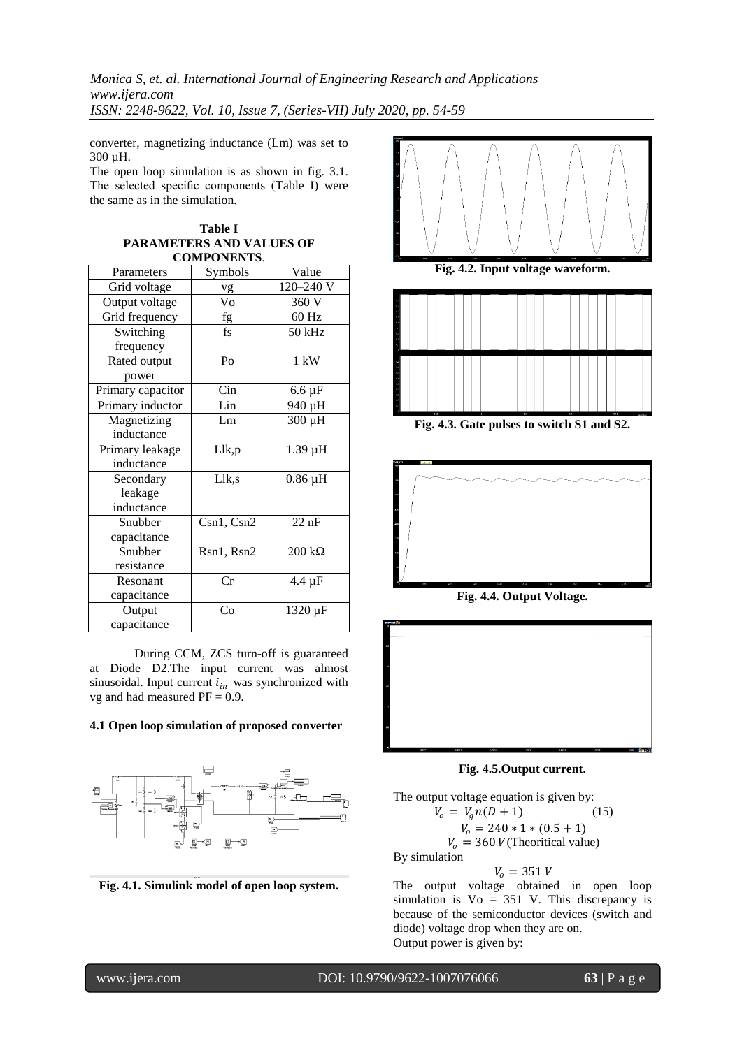*Monica S, et. al. International Journal of Engineering Research and Applications www.ijera.com ISSN: 2248-9622, Vol. 10, Issue 7, (Series-VII) July 2020, pp. 54-59*

converter, magnetizing inductance (Lm) was set to 300 µH.

The open loop simulation is as shown in fig. 3.1. The selected specific components (Table I) were the same as in the simulation.

**Table I**

| <b>PARAMETERS AND VALUES OF</b> |                          |                |
|---------------------------------|--------------------------|----------------|
| <b>COMPONENTS.</b>              |                          |                |
| Parameters                      | Symbols                  | Value          |
| Grid voltage                    | vg                       | 120-240 V      |
| Output voltage                  | Vo                       | 360 V          |
| Grid frequency                  | fg                       | 60 Hz          |
| Switching                       | $\mathsf{fs}$            | $50$ kHz       |
| frequency                       |                          |                |
| Rated output                    | P <sub>O</sub>           | $1 \text{ kW}$ |
| power                           |                          |                |
| Primary capacitor               | Cin                      | $6.6 \mu F$    |
| Primary inductor                | Lin                      | 940 µH         |
| Magnetizing                     | Lm                       | 300 µH         |
| inductance                      |                          |                |
| Primary leakage                 | Llk,p                    | 1.39 µH        |
| inductance                      |                          |                |
| Secondary                       | Llk,s                    | $0.86 \mu H$   |
| leakage                         |                          |                |
| inductance                      |                          |                |
| Snubber                         | Csn1, Csn2               | $22$ nF        |
| capacitance                     |                          |                |
| Snubber                         | Rsn1, Rsn2               | $200 k\Omega$  |
| resistance                      |                          |                |
| Resonant                        | Cr                       | $4.4 \mu F$    |
| capacitance                     |                          |                |
| Output                          | $\overline{\mathrm{Co}}$ | 1320 µF        |
| capacitance                     |                          |                |

During CCM, ZCS turn-off is guaranteed at Diode D2.The input current was almost sinusoidal. Input current  $i_{in}$  was synchronized with vg and had measured  $PF = 0.9$ .

#### **4.1 Open loop simulation of proposed converter**



**Fig. 4.1. Simulink model of open loop system.**



**Fig. 4.2. Input voltage waveform.**



**Fig. 4.3. Gate pulses to switch S1 and S2.**



**Fig. 4.4. Output Voltage.**



**Fig. 4.5.Output current.**

The output voltage equation is given by:  $V_o = V_a n(D+1)$  (15)  $V_o = 240 * 1 * (0.5 + 1)$  $V_0 = 360$  V(Theoritical value) By simulation  $V_0 = 351 V$ 

The output voltage obtained in open loop simulation is  $Vo = 351$  V. This discrepancy is because of the semiconductor devices (switch and diode) voltage drop when they are on. Output power is given by: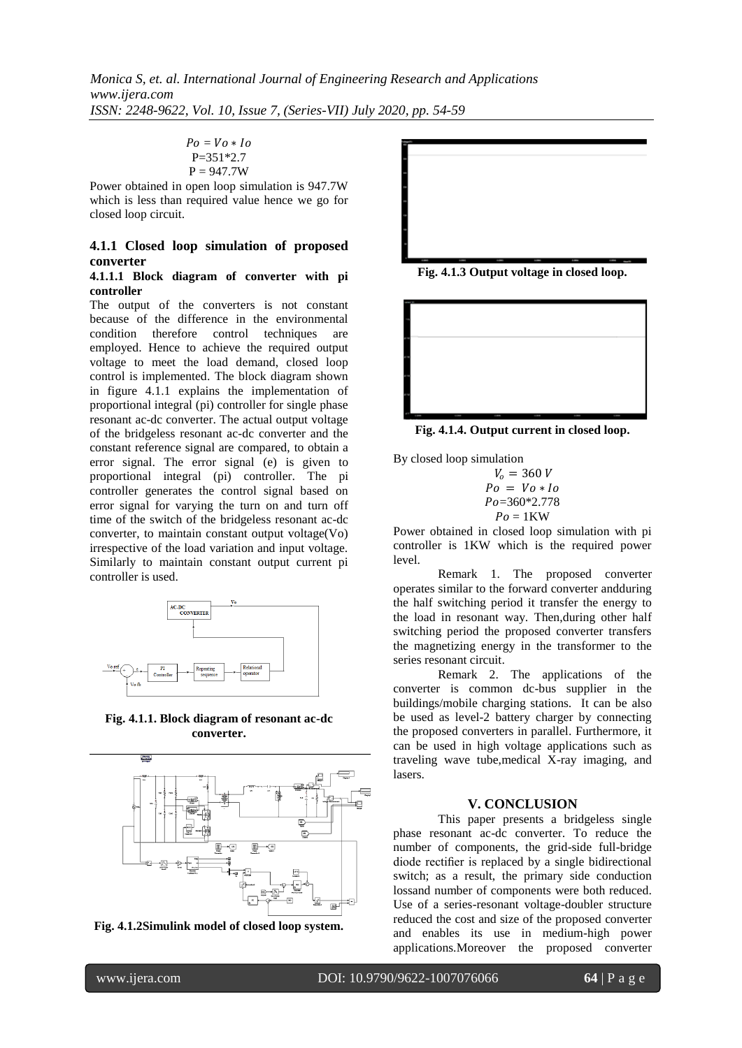```
Po = Vo * IoP=351*2.7
P = 947.7W
```
Power obtained in open loop simulation is 947.7W which is less than required value hence we go for closed loop circuit.

# **4.1.1 Closed loop simulation of proposed converter**

#### **4.1.1.1 Block diagram of converter with pi controller**

The output of the converters is not constant because of the difference in the environmental condition therefore control techniques are employed. Hence to achieve the required output voltage to meet the load demand, closed loop control is implemented. The block diagram shown in figure 4.1.1 explains the implementation of proportional integral (pi) controller for single phase resonant ac-dc converter. The actual output voltage of the bridgeless resonant ac-dc converter and the constant reference signal are compared, to obtain a error signal. The error signal (e) is given to proportional integral (pi) controller. The pi controller generates the control signal based on error signal for varying the turn on and turn off time of the switch of the bridgeless resonant ac-dc converter, to maintain constant output voltage(Vo) irrespective of the load variation and input voltage. Similarly to maintain constant output current pi controller is used.



**Fig. 4.1.1. Block diagram of resonant ac-dc converter.**









**Fig. 4.1.4. Output current in closed loop.**

By closed loop simulation

$$
V_o = 360 V
$$
  

$$
Po = Vo * Io
$$
  

$$
Po = 360 * 2.778
$$
  

$$
Po = 1KW
$$

Power obtained in closed loop simulation with pi controller is 1KW which is the required power level.

Remark 1. The proposed converter operates similar to the forward converter andduring the half switching period it transfer the energy to the load in resonant way. Then,during other half switching period the proposed converter transfers the magnetizing energy in the transformer to the series resonant circuit.

Remark 2. The applications of the converter is common dc-bus supplier in the buildings/mobile charging stations. It can be also be used as level-2 battery charger by connecting the proposed converters in parallel. Furthermore, it can be used in high voltage applications such as traveling wave tube,medical X-ray imaging, and lasers.

# **V. CONCLUSION**

This paper presents a bridgeless single phase resonant ac-dc converter. To reduce the number of components, the grid-side full-bridge diode rectifier is replaced by a single bidirectional switch; as a result, the primary side conduction lossand number of components were both reduced. Use of a series-resonant voltage-doubler structure reduced the cost and size of the proposed converter and enables its use in medium-high power applications.Moreover the proposed converter